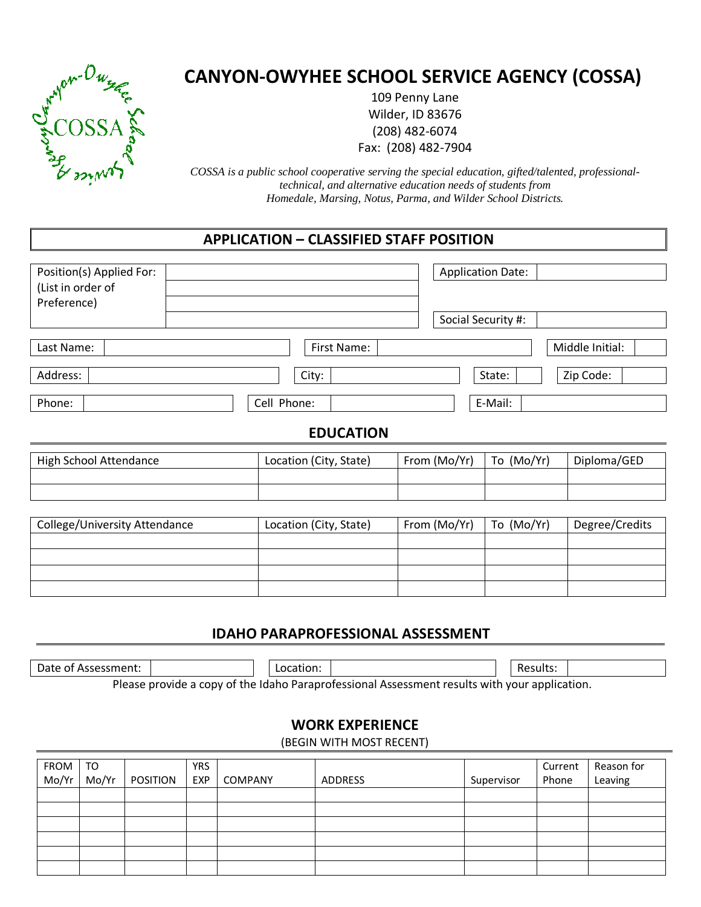

# CANYON-OWYHEE SCHOOL SERVICE AGENCY (COSSA)

109 Penny Lane Wilder, ID 83676 (208) 482-6074 Fax: (208) 482-7904

*COSSA is a public school cooperative serving the special education, gifted/talented, professionaltechnical, and alternative education needs of students from Homedale, Marsing, Notus, Parma, and Wilder School Districts.* 

### APPLICATION – CLASSIFIED STAFF POSITION

| Position(s) Applied For:<br>(List in order of<br>Preference) |                        |                    | <b>Application Date:</b> |                 |  |  |  |
|--------------------------------------------------------------|------------------------|--------------------|--------------------------|-----------------|--|--|--|
|                                                              |                        | Social Security #: |                          |                 |  |  |  |
| Last Name:                                                   | First Name:            |                    |                          | Middle Initial: |  |  |  |
| Address:                                                     | City:                  |                    | State:                   | Zip Code:       |  |  |  |
| Phone:                                                       | Cell Phone:            | E-Mail:            |                          |                 |  |  |  |
| <b>EDUCATION</b>                                             |                        |                    |                          |                 |  |  |  |
| <b>High School Attendance</b>                                | Location (City, State) | From (Mo/Yr)       | To (Mo/Yr)               | Diploma/GED     |  |  |  |
|                                                              |                        |                    |                          |                 |  |  |  |
| College/University Attendance                                | Location (City, State) | From (Mo/Yr)       | To (Mo/Yr)               | Degree/Credits  |  |  |  |
|                                                              |                        |                    |                          |                 |  |  |  |
|                                                              |                        |                    |                          |                 |  |  |  |
|                                                              |                        |                    |                          |                 |  |  |  |

#### IDAHO PARAPROFESSIONAL ASSESSMENT

Date of Assessment: Location: Location: Location: Location: Location: Location: Location: Location: Location: L

Please provide a copy of the Idaho Paraprofessional Assessment results with your application.

#### WORK EXPERIENCE

(BEGIN WITH MOST RECENT)

|               | TO    |          | <b>YRS</b> |         |         |            | Current | Reason for |
|---------------|-------|----------|------------|---------|---------|------------|---------|------------|
| FROM<br>Mo/Yr | Mo/Yr | POSITION | EXP        | COMPANY | ADDRESS | Supervisor | Phone   | Leaving    |
|               |       |          |            |         |         |            |         |            |
|               |       |          |            |         |         |            |         |            |
|               |       |          |            |         |         |            |         |            |
|               |       |          |            |         |         |            |         |            |
|               |       |          |            |         |         |            |         |            |
|               |       |          |            |         |         |            |         |            |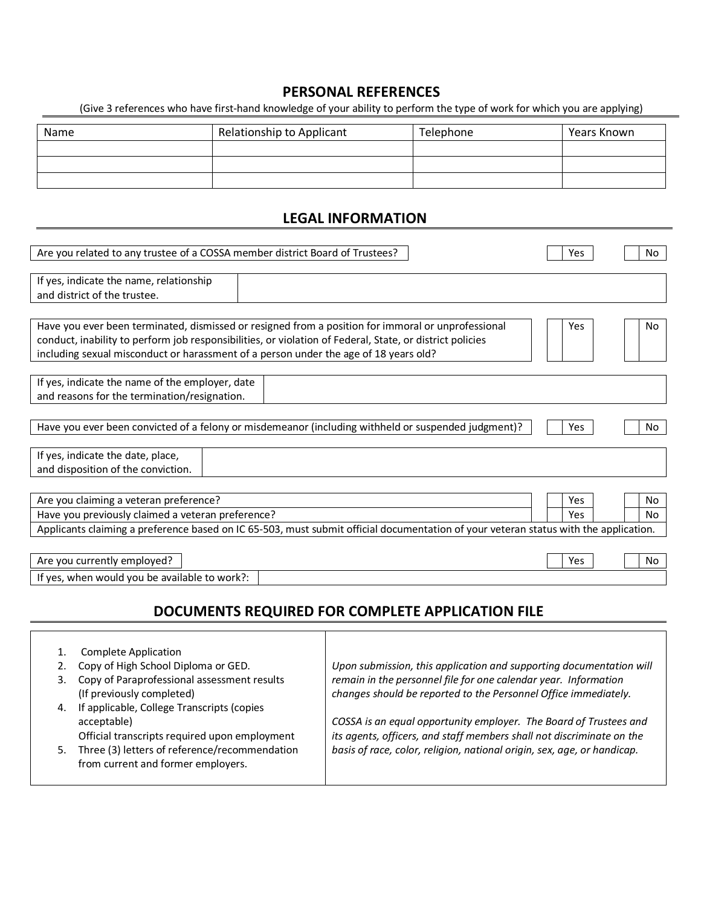#### PERSONAL REFERENCES

(Give 3 references who have first-hand knowledge of your ability to perform the type of work for which you are applying)

| Name | Relationship to Applicant | Telephone | Years Known |  |
|------|---------------------------|-----------|-------------|--|
|      |                           |           |             |  |
|      |                           |           |             |  |
|      |                           |           |             |  |

#### LEGAL INFORMATION

| Are you related to any trustee of a COSSA member district Board of Trustees?                                                                                                                                                                                                                           |                                                                                                                                                                                                           | Yes            | No |
|--------------------------------------------------------------------------------------------------------------------------------------------------------------------------------------------------------------------------------------------------------------------------------------------------------|-----------------------------------------------------------------------------------------------------------------------------------------------------------------------------------------------------------|----------------|----|
| If yes, indicate the name, relationship<br>and district of the trustee.                                                                                                                                                                                                                                |                                                                                                                                                                                                           |                |    |
|                                                                                                                                                                                                                                                                                                        |                                                                                                                                                                                                           |                |    |
| Have you ever been terminated, dismissed or resigned from a position for immoral or unprofessional<br>conduct, inability to perform job responsibilities, or violation of Federal, State, or district policies<br>including sexual misconduct or harassment of a person under the age of 18 years old? |                                                                                                                                                                                                           | Yes            | No |
| If yes, indicate the name of the employer, date                                                                                                                                                                                                                                                        |                                                                                                                                                                                                           |                |    |
| and reasons for the termination/resignation.                                                                                                                                                                                                                                                           |                                                                                                                                                                                                           |                |    |
| Have you ever been convicted of a felony or misdemeanor (including withheld or suspended judgment)?                                                                                                                                                                                                    |                                                                                                                                                                                                           | Yes            | No |
| If yes, indicate the date, place,<br>and disposition of the conviction.                                                                                                                                                                                                                                |                                                                                                                                                                                                           |                |    |
| Are you claiming a veteran preference?                                                                                                                                                                                                                                                                 |                                                                                                                                                                                                           | Yes            | No |
| Have you previously claimed a veteran preference?                                                                                                                                                                                                                                                      | Yes                                                                                                                                                                                                       | N <sub>o</sub> |    |
| Applicants claiming a preference based on IC 65-503, must submit official documentation of your veteran status with the application.                                                                                                                                                                   |                                                                                                                                                                                                           |                |    |
|                                                                                                                                                                                                                                                                                                        |                                                                                                                                                                                                           |                |    |
| Are you currently employed?                                                                                                                                                                                                                                                                            | Yes                                                                                                                                                                                                       | No             |    |
| If yes, when would you be available to work?:                                                                                                                                                                                                                                                          |                                                                                                                                                                                                           |                |    |
|                                                                                                                                                                                                                                                                                                        | DOCUMENTS REQUIRED FOR COMPLETE APPLICATION FILE                                                                                                                                                          |                |    |
|                                                                                                                                                                                                                                                                                                        |                                                                                                                                                                                                           |                |    |
| <b>Complete Application</b><br>1.<br>Copy of High School Diploma or GED.<br>2.<br>Copy of Paraprofessional assessment results<br>3.<br>(If previously completed)                                                                                                                                       | Upon submission, this application and supporting documentation will<br>remain in the personnel file for one calendar year. Information<br>changes should be reported to the Personnel Office immediately. |                |    |
| If applicable, College Transcripts (copies<br>4.<br>acceptable)<br>Official transcripts required upon employment                                                                                                                                                                                       | COSSA is an equal opportunity employer. The Board of Trustees and<br>its agents, officers, and staff members shall not discriminate on the                                                                |                |    |
| Three (3) letters of reference/recommendation<br>basis of race, color, religion, national origin, sex, age, or handicap.<br>5.<br>from current and former employers.                                                                                                                                   |                                                                                                                                                                                                           |                |    |